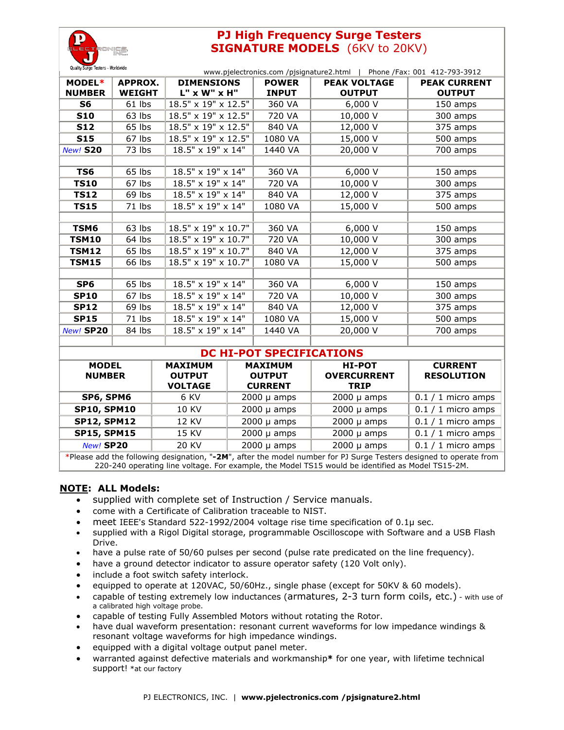

# **PJ High Frequency Surge Testers SIGNATURE MODELS** (6KV to 20KV)

| Quality Surge Testers - Worldwide<br>www.pjelectronics.com /pjsignature2.html   Phone /Fax: 001 412-793-3912 |               |                     |              |                     |                     |  |  |
|--------------------------------------------------------------------------------------------------------------|---------------|---------------------|--------------|---------------------|---------------------|--|--|
| MODEL*                                                                                                       | APPROX.       | <b>DIMENSIONS</b>   | <b>POWER</b> | <b>PEAK VOLTAGE</b> | <b>PEAK CURRENT</b> |  |  |
| <b>NUMBER</b>                                                                                                | <b>WEIGHT</b> | L" x W" x H"        | <b>INPUT</b> | <b>OUTPUT</b>       | <b>OUTPUT</b>       |  |  |
| S6                                                                                                           | 61 lbs        | 18.5" x 19" x 12.5" | 360 VA       | 6,000 V             | 150 amps            |  |  |
| <b>S10</b>                                                                                                   | 63 lbs        | 18.5" x 19" x 12.5" | 720 VA       | 10,000 V            | 300 amps            |  |  |
| <b>S12</b>                                                                                                   | 65 lbs        | 18.5" x 19" x 12.5" | 840 VA       | 12,000 V            | 375 amps            |  |  |
| <b>S15</b>                                                                                                   | 67 lbs        | 18.5" x 19" x 12.5" | 1080 VA      | 15,000 V            | 500 amps            |  |  |
| <b>New! S20</b>                                                                                              | 73 lbs        | 18.5" x 19" x 14"   | 1440 VA      | 20,000 V            | 700 amps            |  |  |
|                                                                                                              |               |                     |              |                     |                     |  |  |
| TS6                                                                                                          | 65 lbs        | 18.5" x 19" x 14"   | 360 VA       | 6,000V              | 150 amps            |  |  |
| <b>TS10</b>                                                                                                  | 67 lbs        | 18.5" x 19" x 14"   | 720 VA       | 10,000 V            | 300 amps            |  |  |
| <b>TS12</b>                                                                                                  | 69 lbs        | 18.5" x 19" x 14"   | 840 VA       | 12,000 V            | 375 amps            |  |  |
| <b>TS15</b>                                                                                                  | 71 lbs        | 18.5" x 19" x 14"   | 1080 VA      | 15,000 V            | 500 amps            |  |  |
|                                                                                                              |               |                     |              |                     |                     |  |  |
| TSM6                                                                                                         | 63 lbs        | 18.5" x 19" x 10.7" | 360 VA       | 6,000 V             | 150 amps            |  |  |
| <b>TSM10</b>                                                                                                 | 64 lbs        | 18.5" x 19" x 10.7" | 720 VA       | 10,000 V            | 300 amps            |  |  |
| <b>TSM12</b>                                                                                                 | 65 lbs        | 18.5" x 19" x 10.7" | 840 VA       | 12,000 V            | 375 amps            |  |  |
| <b>TSM15</b>                                                                                                 | 66 lbs        | 18.5" x 19" x 10.7" | 1080 VA      | 15,000 V            | 500 amps            |  |  |
|                                                                                                              |               |                     |              |                     |                     |  |  |
| SP <sub>6</sub>                                                                                              | 65 lbs        | 18.5" x 19" x 14"   | 360 VA       | 6,000 V             | 150 amps            |  |  |
| <b>SP10</b>                                                                                                  | 67 lbs        | 18.5" x 19" x 14"   | 720 VA       | 10,000 V            | 300 amps            |  |  |
| <b>SP12</b>                                                                                                  | 69 lbs        | 18.5" x 19" x 14"   | 840 VA       | 12,000 V            | 375 amps            |  |  |
| <b>SP15</b>                                                                                                  | 71 lbs        | 18.5" x 19" x 14"   | 1080 VA      | 15,000 V            | 500 amps            |  |  |
| New! SP20                                                                                                    | 84 lbs        | 18.5" x 19" x 14"   | 1440 VA      | 20,000 V            | 700 amps            |  |  |
|                                                                                                              |               |                     |              |                     |                     |  |  |

## **DC HI-POT SPECIFICATIONS**

| <b>MODEL</b><br><b>NUMBER</b> | <b>MAXIMUM</b><br><b>OUTPUT</b><br><b>VOLTAGE</b> | <b>MAXIMUM</b><br><b>OUTPUT</b><br><b>CURRENT</b> | <b>HI-POT</b><br><b>OVERCURRENT</b><br><b>TRIP</b> | <b>CURRENT</b><br><b>RESOLUTION</b> |  |  |  |
|-------------------------------|---------------------------------------------------|---------------------------------------------------|----------------------------------------------------|-------------------------------------|--|--|--|
| SP6, SPM6                     | 6 KV                                              | $2000 \mu$ amps                                   | $2000 \mu$ amps                                    | $0.1 / 1$ micro amps                |  |  |  |
| <b>SP10, SPM10</b>            | 10 KV                                             | $2000 \mu$ amps                                   | $2000 \mu$ amps                                    | $0.1 / 1$ micro amps                |  |  |  |
| <b>SP12, SPM12</b>            | 12 KV                                             | $2000 \mu$ amps                                   | $2000 \mu$ amps                                    | $0.1 / 1$ micro amps                |  |  |  |
| <b>SP15, SPM15</b>            | 15 KV                                             | $2000 \mu$ amps                                   | $2000 \mu$ amps                                    | $0.1 / 1$ micro amps                |  |  |  |
| New! SP20                     | 20 KV                                             | $2000 \mu$ amps                                   | $2000 \mu$ amps                                    | $0.1 / 1$ micro amps                |  |  |  |

\*Please add the following designation, "**-2M**", after the model number for PJ Surge Testers designed to operate from 220-240 operating line voltage. For example, the Model TS15 would be identified as Model TS15-2M.

### **NOTE: ALL Models:**

- supplied with complete set of Instruction / Service manuals.
- come with a Certificate of Calibration traceable to NIST.
- meet IEEE's Standard 522-1992/2004 voltage rise time specification of 0.1µ sec.
- supplied with a Rigol Digital storage, programmable Oscilloscope with Software and a USB Flash Drive.
- have a pulse rate of 50/60 pulses per second (pulse rate predicated on the line frequency).
- have a ground detector indicator to assure operator safety (120 Volt only).
- include a foot switch safety interlock.
- equipped to operate at 120VAC, 50/60Hz., single phase (except for 50KV & 60 models).
- capable of testing extremely low inductances (armatures, 2-3 turn form coils, etc.) with use of a calibrated high voltage probe.
- capable of testing Fully Assembled Motors without rotating the Rotor.
- have dual waveform presentation: resonant current waveforms for low impedance windings & resonant voltage waveforms for high impedance windings.
- equipped with a digital voltage output panel meter.
- warranted against defective materials and workmanship**\*** for one year, with lifetime technical support! \*at our factory